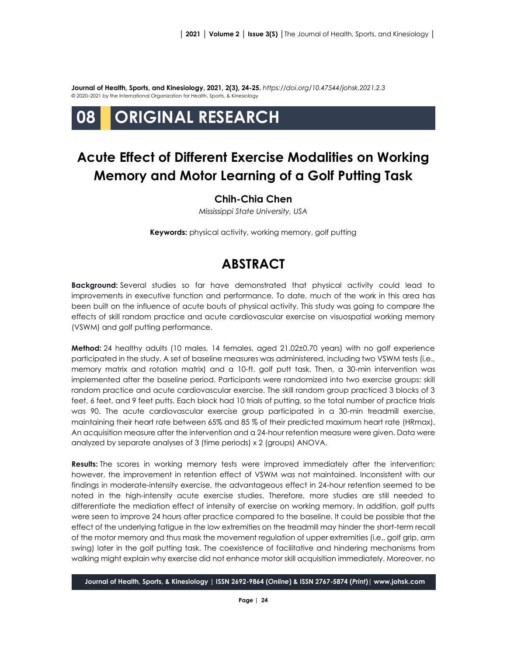**Journal of Health, Sports, and Kinesiology, 2021, 2(3), 24-25.** *<https://doi.org/10.47544/johsk.2021.2.3>* © 2020–2021 by the International Organization for Health, Sports, & Kinesiology

# **08 ORIGINAL RESEARCH**

## **Acute Effect of Different Exercise Modalities on Working Memory and Motor Learning of a Golf Putting Task**

#### **Chih-Chia Chen**

*Mississippi State University, USA*

**Keywords:** physical activity, working memory, golf putting

### **ABSTRACT**

**Background:** Several studies so far have demonstrated that physical activity could lead to improvements in executive function and performance. To date, much of the work in this area has been built on the influence of acute bouts of physical activity. This study was going to compare the effects of skill random practice and acute cardiovascular exercise on visuospatial working memory (VSWM) and golf putting performance.

**Method:** 24 healthy adults (10 males, 14 females, aged 21.02±0.70 years) with no golf experience participated in the study. A set of baseline measures was administered, including two VSWM tests (i.e., memory matrix and rotation matrix) and a 10-ft. golf putt task. Then, a 30-min intervention was implemented after the baseline period. Participants were randomized into two exercise groups: skill random practice and acute cardiovascular exercise. The skill random group practiced 3 blocks of 3 feet, 6 feet, and 9 feet putts. Each block had 10 trials of putting, so the total number of practice trials was 90. The acute cardiovascular exercise group participated in a 30-min treadmill exercise, maintaining their heart rate between 65% and 85 % of their predicted maximum heart rate (HRmax). An acquisition measure after the intervention and a 24-hour retention measure were given. Data were analyzed by separate analyses of 3 (time periods) x 2 (groups) ANOVA.

**Results:** The scores in working memory tests were improved immediately after the intervention; however, the improvement in retention effect of VSWM was not maintained. Inconsistent with our findings in moderate-intensity exercise, the advantageous effect in 24-hour retention seemed to be noted in the high-intensity acute exercise studies. Therefore, more studies are still needed to differentiate the mediation effect of intensity of exercise on working memory. In addition, golf putts were seen to improve 24 hours after practice compared to the baseline. It could be possible that the effect of the underlying fatigue in the low extremities on the treadmill may hinder the short-term recall of the motor memory and thus mask the movement regulation of upper extremities (i.e., golf grip, arm swing) later in the golf putting task. The coexistence of facilitative and hindering mechanisms from walking might explain why exercise did not enhance motor skill acquisition immediately. Moreover, no

**Journal of Health, Sports, & Kinesiology | ISSN 2692-9864 (***Online***) & ISSN 2767-5874 (***Print***)| www.johsk.com**